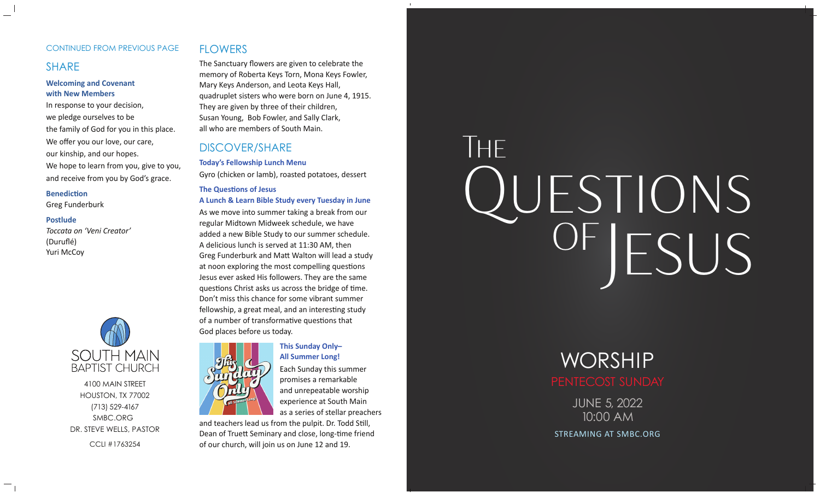#### CONTINUED FROM PREVIOUS PAGE

# SHARE

#### **Welcoming and Covenant with New Members**

In response to your decision, we pledge ourselves to be the family of God for you in this place. We offer you our love, our care, our kinship, and our hopes. We hope to learn from you, give to you, and receive from you by God's grace.

#### **BenedicƟon**

Greg Funderburk

#### **Postlude**

*Toccata on 'Veni Creator'* (Duruflé) Yuri McCoy



4100 MAIN STREETHOUSTON, TX 77002 (713) 529-4167 SMBC.ORG DR. STEVE WELLS, PASTOR CCLI #1763254

# **FLOWERS**

The Sanctuary flowers are given to celebrate the memory of Roberta Keys Torn, Mona Keys Fowler, Mary Keys Anderson, and Leota Keys Hall, quadruplet sisters who were born on June 4, 1915. They are given by three of their children, Susan Young, Bob Fowler, and Sally Clark, all who are members of South Main.

# DISCOVER/SHARE

**Today's Fellowship Lunch Menu** Gyro (chicken or lamb), roasted potatoes, dessert

#### **The Ques Ɵons of JesusA Lunch & Learn Bible Study every Tuesday in June**

As we move into summer taking a break from our regular Midtown Midweek schedule, we have added a new Bible Study to our summer schedule. A delicious lunch is served at 11:30 AM, then Greg Funderburk and Ma Ʃ Walton will lead a study at noon exploring the most compelling questions Jesus ever asked His followers. They are the same questions Christ asks us across the bridge of time. Don't miss this chance for some vibrant summer fellowship, a great meal, and an interesting study of a number of transformative questions that God places before us today.



# **This Sunday Only– All Summer Long!**

Each Sunday this summer promises a remarkable and unrepeatable worship experience at South Main as a series of stellar preachers

and teachers lead us from the pulpit. Dr. Todd Still, Dean of Truett Seminary and close, long-time friend of our church, will join us on June 12 and 19.

# QUESTIONS<br>OF JESUS THEOF

JUNE 5, 2022 10:00 AMWORSHIP

STREAMING AT SMBC.ORG